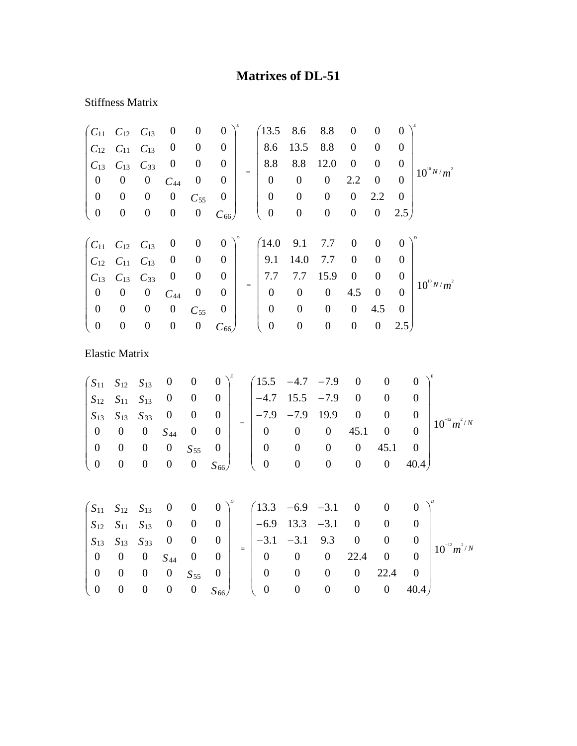## **Matrixes of DL-51**

## Stiffness Matrix

| $C_{11}$              | $C_{12}$         | $C_{13}$         | $\boldsymbol{0}$ | $\boldsymbol{0}$ | $\boldsymbol{0}$ |     | 13.5             | 8.6              | 8.8              | $\boldsymbol{0}$ | $\boldsymbol{0}$ | $\boldsymbol{0}$ |                  |
|-----------------------|------------------|------------------|------------------|------------------|------------------|-----|------------------|------------------|------------------|------------------|------------------|------------------|------------------|
| $C_{12}$              | $C_{11}$         | $C_{13}$         | $\boldsymbol{0}$ | $\boldsymbol{0}$ | $\boldsymbol{0}$ |     | 8.6              | 13.5             | 8.8              | $\boldsymbol{0}$ | $\boldsymbol{0}$ | $\overline{0}$   |                  |
| $C_{13}$              | $C_{13}$         | $C_{33}$         | $\boldsymbol{0}$ | $\boldsymbol{0}$ | $\boldsymbol{0}$ |     | 8.8              | 8.8              | 12.0             | $\boldsymbol{0}$ | $\boldsymbol{0}$ | $\boldsymbol{0}$ | $10^{10} N/m^2$  |
| $\boldsymbol{0}$      | $\boldsymbol{0}$ | $\boldsymbol{0}$ | $C_{44}$         | $\boldsymbol{0}$ | $\theta$         | $=$ | $\overline{0}$   | $\mathbf{0}$     | $\boldsymbol{0}$ | 2.2              | $\boldsymbol{0}$ | $\overline{0}$   |                  |
| $\boldsymbol{0}$      | $\boldsymbol{0}$ | $\boldsymbol{0}$ | $\boldsymbol{0}$ | $C_{55}$         | $\boldsymbol{0}$ |     | $\boldsymbol{0}$ | $\boldsymbol{0}$ | $\boldsymbol{0}$ | $\boldsymbol{0}$ | 2.2              | $\boldsymbol{0}$ |                  |
| $\boldsymbol{0}$      | $\boldsymbol{0}$ | $\boldsymbol{0}$ | $\boldsymbol{0}$ | $\boldsymbol{0}$ | $C_{66}$         |     | $\boldsymbol{0}$ | $\boldsymbol{0}$ | $\boldsymbol{0}$ | $\boldsymbol{0}$ | $\boldsymbol{0}$ | 2.5)             |                  |
|                       |                  |                  |                  |                  |                  |     |                  |                  |                  |                  |                  |                  |                  |
| $C_{11}$              | $C_{12}$         | $C_{13}$         | $\boldsymbol{0}$ | $\boldsymbol{0}$ | $\boldsymbol{0}$ |     | (14.0)           | 9.1              | 7.7              | $\boldsymbol{0}$ | $\mathbf{0}$     | $\overline{0}$   |                  |
| $C_{12}$              | $C_{11}$         | $C_{13}$         | $\boldsymbol{0}$ | $\boldsymbol{0}$ | $\boldsymbol{0}$ |     | 9.1              | 14.0             | 7.7              | $\boldsymbol{0}$ | $\overline{0}$   | $\overline{0}$   |                  |
| $C_{13}$              | $C_{13}$         | $C_{33}$         | $\boldsymbol{0}$ | $\boldsymbol{0}$ | $\boldsymbol{0}$ | $=$ | 7.7              | 7.7              | 15.9             | $\boldsymbol{0}$ | $\boldsymbol{0}$ | $\overline{0}$   | $10^{10} N/m^2$  |
| $\boldsymbol{0}$      | $\boldsymbol{0}$ | $\boldsymbol{0}$ | $C_{44}$         | $\boldsymbol{0}$ | $\boldsymbol{0}$ |     | $\boldsymbol{0}$ | $\boldsymbol{0}$ | $\boldsymbol{0}$ | 4.5              | $\boldsymbol{0}$ | $\theta$         |                  |
| $\boldsymbol{0}$      | $\boldsymbol{0}$ | $\boldsymbol{0}$ | $\boldsymbol{0}$ | $C_{55}$         | $\boldsymbol{0}$ |     | $\boldsymbol{0}$ | $\boldsymbol{0}$ | $\boldsymbol{0}$ | $\boldsymbol{0}$ | 4.5              | $\overline{0}$   |                  |
| $\boldsymbol{0}$      | $\boldsymbol{0}$ | $\boldsymbol{0}$ | $\boldsymbol{0}$ | $\boldsymbol{0}$ | $C_{66}$         |     | $\boldsymbol{0}$ | $\boldsymbol{0}$ | $\boldsymbol{0}$ | $\boldsymbol{0}$ | $\boldsymbol{0}$ | 2.5)             |                  |
|                       |                  |                  |                  |                  |                  |     |                  |                  |                  |                  |                  |                  |                  |
| <b>Elastic Matrix</b> |                  |                  |                  |                  |                  |     |                  |                  |                  |                  |                  |                  |                  |
|                       |                  |                  |                  |                  |                  |     | 15.5             |                  |                  | $\boldsymbol{0}$ | $\boldsymbol{0}$ |                  |                  |
| $S_{11}$              | $S_{12}$         | $S_{13}$         | $\boldsymbol{0}$ | $\boldsymbol{0}$ | $\boldsymbol{0}$ |     |                  | $-4.7$           | $-7.9$           |                  |                  |                  | $\boldsymbol{0}$ |
| $S_{12}$              | $S_{11}$         | $S_{13}$         | $\boldsymbol{0}$ | $\boldsymbol{0}$ | $\boldsymbol{0}$ |     | $-4.7$           | 15.5             | $-7.9$           | $\boldsymbol{0}$ | $\boldsymbol{0}$ |                  | $\boldsymbol{0}$ |

|  |  |  |  |  |  |  | $\begin{bmatrix} S_{13} & S_{13} & S_{33} & 0 & 0 & 0 \ 0 & 0 & 0 & S_{44} & 0 & 0 \ 0 & 0 & 0 & 0 & S_{55} & 0 \ 0 & 0 & 0 & 0 & 0 & S_{66} \end{bmatrix} = \begin{bmatrix} -7.9 & -7.9 & 19.9 & 0 & 0 & 0 \ 0 & 0 & 0 & 45.1 & 0 & 0 \ 0 & 0 & 0 & 0 & 45.1 & 0 \ 0 & 0 & 0 & 0 & 0 & 40.4 \end{bmatrix} 10^{-12} m^{2/N}$ |
|--|--|--|--|--|--|--|------------------------------------------------------------------------------------------------------------------------------------------------------------------------------------------------------------------------------------------------------------------------------------------------------------------------------|

|  |  |                                                            |  | $\begin{pmatrix} S_{11} & S_{12} & S_{13} & 0 & 0 & 0 \end{pmatrix}^p$ $\begin{pmatrix} 13.3 & -6.9 & -3.1 & 0 & 0 & 0 \end{pmatrix}^p$                                                    |  |                  |                  |
|--|--|------------------------------------------------------------|--|--------------------------------------------------------------------------------------------------------------------------------------------------------------------------------------------|--|------------------|------------------|
|  |  |                                                            |  | $\begin{vmatrix} S_{12} & S_{11} & S_{13} & 0 & 0 & 0 \end{vmatrix}$ $\begin{vmatrix} -6.9 & 13.3 & -3.1 & 0 & 0 \end{vmatrix}$                                                            |  |                  |                  |
|  |  |                                                            |  | $\begin{vmatrix} S_{13} & S_{13} & S_{33} & 0 & 0 & 0 \ 0 & 0 & 0 & S_{44} & 0 & 0 \end{vmatrix} = \begin{vmatrix} -3.1 & -3.1 & 9.3 & 0 & 0 & 0 \ 0 & 0 & 0 & 22.4 & 0 & 0 \end{vmatrix}$ |  |                  | $10^{-12} m^2/N$ |
|  |  | $\begin{pmatrix} 0 & 0 & 0 & S_{44} & 0 & 0 \end{pmatrix}$ |  |                                                                                                                                                                                            |  |                  |                  |
|  |  |                                                            |  |                                                                                                                                                                                            |  | $0 \t 22.4 \t 0$ |                  |
|  |  |                                                            |  | $\begin{pmatrix} 0 & 0 & 0 & 0 & S_{55} & 0 \ 0 & 0 & 0 & 0 & 0 & S_{66} \end{pmatrix}$ $\begin{pmatrix} 0 & 0 & 0 & 0 & 22.4 & 0 \ 0 & 0 & 0 & 0 & 40.4 \end{pmatrix}$                    |  |                  |                  |